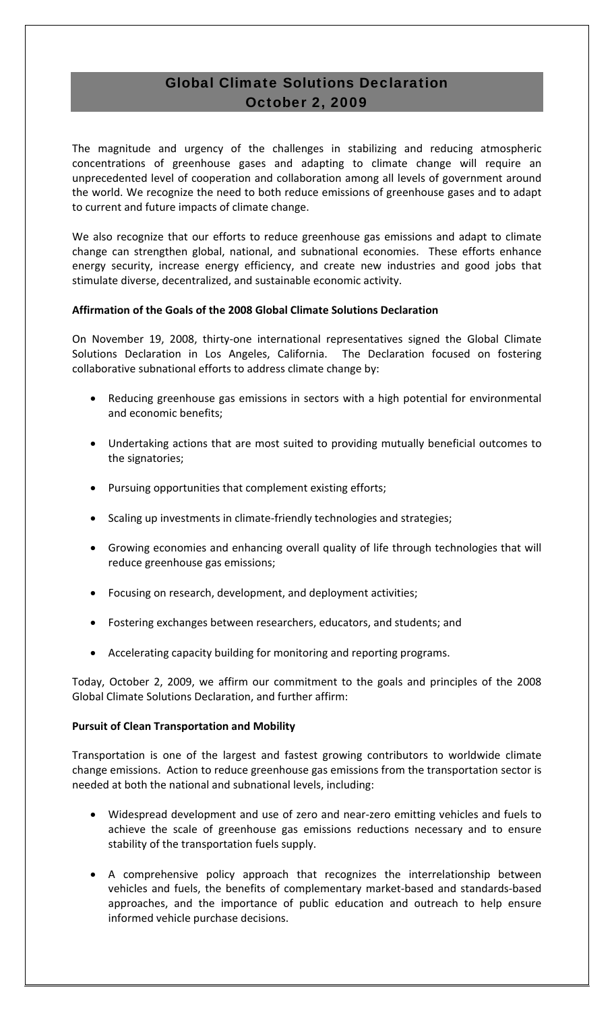# Global Climate Solutions Declaration October 2, 2009

The magnitude and urgency of the challenges in stabilizing and reducing atmospheric concentrations of greenhouse gases and adapting to climate change will require an unprecedented level of cooperation and collaboration among all levels of government around the world. We recognize the need to both reduce emissions of greenhouse gases and to adapt to current and future impacts of climate change.

We also recognize that our efforts to reduce greenhouse gas emissions and adapt to climate change can strengthen global, national, and subnational economies. These efforts enhance energy security, increase energy efficiency, and create new industries and good jobs that stimulate diverse, decentralized, and sustainable economic activity.

## **Affirmation of the Goals of the 2008 Global Climate Solutions Declaration**

On November 19, 2008, thirty-one international representatives signed the Global Climate Solutions Declaration in Los Angeles, California. The Declaration focused on fostering collaborative subnational efforts to address climate change by:

- Reducing greenhouse gas emissions in sectors with a high potential for environmental and economic benefits;
- Undertaking actions that are most suited to providing mutually beneficial outcomes to the signatories;
- Pursuing opportunities that complement existing efforts;
- Scaling up investments in climate‐friendly technologies and strategies;
- Growing economies and enhancing overall quality of life through technologies that will reduce greenhouse gas emissions;
- Focusing on research, development, and deployment activities;
- Fostering exchanges between researchers, educators, and students; and
- Accelerating capacity building for monitoring and reporting programs.

Today, October 2, 2009, we affirm our commitment to the goals and principles of the 2008 Global Climate Solutions Declaration, and further affirm:

#### **Pursuit of Clean Transportation and Mobility**

Transportation is one of the largest and fastest growing contributors to worldwide climate change emissions. Action to reduce greenhouse gas emissions from the transportation sector is needed at both the national and subnational levels, including:

- Widespread development and use of zero and near‐zero emitting vehicles and fuels to achieve the scale of greenhouse gas emissions reductions necessary and to ensure stability of the transportation fuels supply.
- A comprehensive policy approach that recognizes the interrelationship between vehicles and fuels, the benefits of complementary market‐based and standards‐based approaches, and the importance of public education and outreach to help ensure informed vehicle purchase decisions.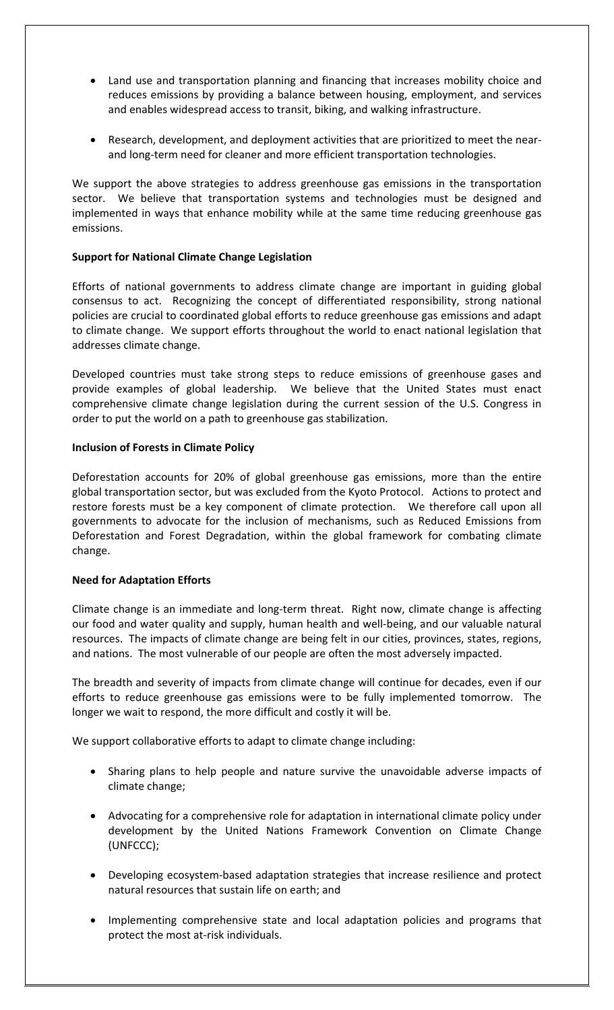- Land use and transportation planning and financing that increases mobility choice and reduces emissions by providing a balance between housing, employment, and services and enables widespread access to transit, biking, and walking infrastructure.
- Research, development, and deployment activities that are prioritized to meet the nearand long‐term need for cleaner and more efficient transportation technologies.

We support the above strategies to address greenhouse gas emissions in the transportation sector. We believe that transportation systems and technologies must be designed and implemented in ways that enhance mobility while at the same time reducing greenhouse gas emissions.

#### **Support for National Climate Change Legislation**

Efforts of national governments to address climate change are important in guiding global consensus to act. Recognizing the concept of differentiated responsibility, strong national policies are crucial to coordinated global efforts to reduce greenhouse gas emissions and adapt to climate change. We support efforts throughout the world to enact national legislation that addresses climate change.

Developed countries must take strong steps to reduce emissions of greenhouse gases and provide examples of global leadership. We believe that the United States must enact comprehensive climate change legislation during the current session of the U.S. Congress in order to put the world on a path to greenhouse gas stabilization.

#### **Inclusion of Forests in Climate Policy**

Deforestation accounts for 20% of global greenhouse gas emissions, more than the entire global transportation sector, but was excluded from the Kyoto Protocol. Actions to protect and restore forests must be a key component of climate protection. We therefore call upon all governments to advocate for the inclusion of mechanisms, such as Reduced Emissions from Deforestation and Forest Degradation, within the global framework for combating climate change.

#### **Need for Adaptation Efforts**

Climate change is an immediate and long‐term threat. Right now, climate change is affecting our food and water quality and supply, human health and well‐being, and our valuable natural resources. The impacts of climate change are being felt in our cities, provinces, states, regions, and nations. The most vulnerable of our people are often the most adversely impacted.

The breadth and severity of impacts from climate change will continue for decades, even if our efforts to reduce greenhouse gas emissions were to be fully implemented tomorrow. The longer we wait to respond, the more difficult and costly it will be.

We support collaborative efforts to adapt to climate change including:

- Sharing plans to help people and nature survive the unavoidable adverse impacts of climate change;
- Advocating for a comprehensive role for adaptation in international climate policy under development by the United Nations Framework Convention on Climate Change (UNFCCC);
- Developing ecosystem-based adaptation strategies that increase resilience and protect natural resources that sustain life on earth; and
- Implementing comprehensive state and local adaptation policies and programs that protect the most at‐risk individuals.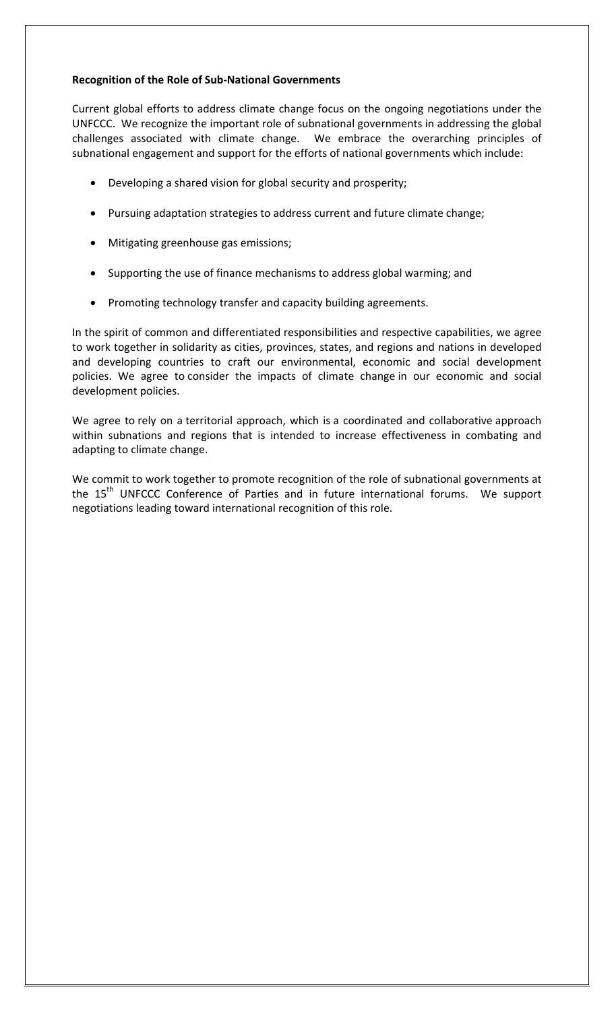#### **Recognition of the Role of Sub‐National Governments**

Current global efforts to address climate change focus on the ongoing negotiations under the UNFCCC. We recognize the important role of subnational governments in addressing the global challenges associated with climate change. We embrace the overarching principles of subnational engagement and support for the efforts of national governments which include:

- Developing a shared vision for global security and prosperity;
- Pursuing adaptation strategies to address current and future climate change;
- Mitigating greenhouse gas emissions;
- Supporting the use of finance mechanisms to address global warming; and
- Promoting technology transfer and capacity building agreements.

In the spirit of common and differentiated responsibilities and respective capabilities, we agree to work together in solidarity as cities, provinces, states, and regions and nations in developed and developing countries to craft our environmental, economic and social development policies. We agree to consider the impacts of climate change in our economic and social development policies.

We agree to rely on a territorial approach, which is a coordinated and collaborative approach within subnations and regions that is intended to increase effectiveness in combating and adapting to climate change.

We commit to work together to promote recognition of the role of subnational governments at the 15<sup>th</sup> UNFCCC Conference of Parties and in future international forums. We support negotiations leading toward international recognition of this role.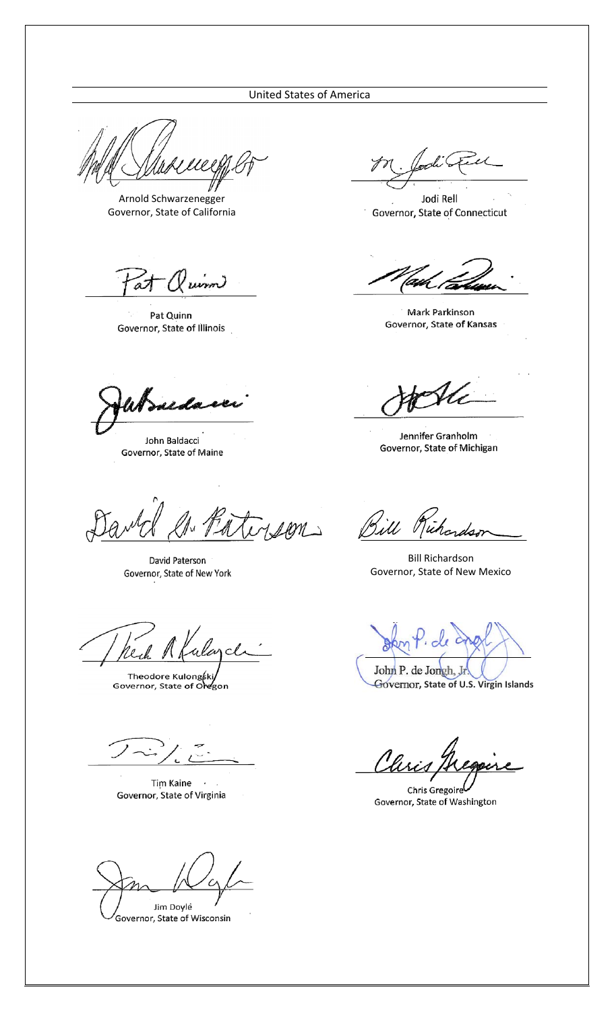#### **United States of America**

Arnold Schwarzenegger Governor, State of California

at  $\alpha$   $\omega$ 

Pat Quinn Governor, State of Illinois

uda

John Baldacci Governor, State of Maine

FALI

David Paterson Governor, State of New York

alance reil

Theodore Kulongkki/<br>Governor, State of Oregon

Tim Kaine Governor, State of Virginia

Jim Doylé

Governor, State of Wisconsin

 $\epsilon$ L

Jodi Rell Governor, State of Connecticut

Mark Parkinson Governor, State of Kansas

Jennifer Granholm Governor, State of Michigan

1101) Bill Richardson

**Bill Richardson** Governor, State of New Mexico

Governor, State of U.S. Virgin Islands

<u>Ch</u>

Chris Gregoire Governor, State of Washington

John P. de Jongh, Jr.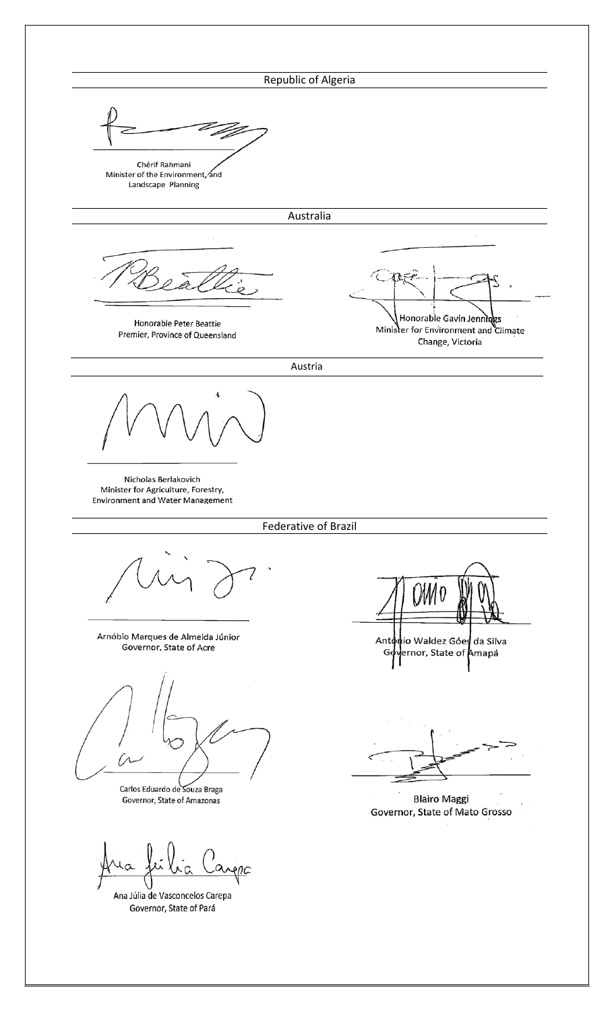## Republic of Algeria



Minister of the Environment, and Landscape Planning

Australia

Honorable Peter Beattie Premier, Province of Queensland

Honorable Gavin Jennings Minister for Environment and Climate Change, Victoria

Austria

Nicholas Berlakovich Minister for Agriculture, Forestry, **Environment and Water Management** 

#### Federative of Brazil

Arnóbio Marques de Almeida Júnior Governor, State of Acre

ĺЛ

Carlos Eduardo de Souza Braga Governor, State of Amazonas

Ana Júlia de Vasconcelos Carepa Governor, State of Pará

io Waldez Góes da Silva Anto

ernor, State of <mark>Amapá</mark> G

**Blairo Maggi** Governor, State of Mato Grosso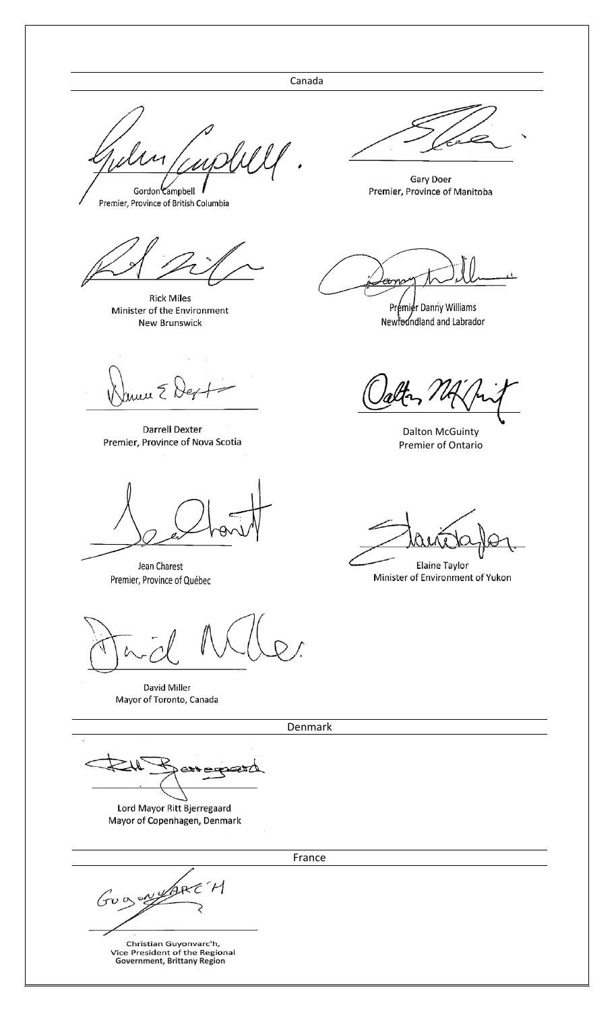Canada

Gordon Campbell

Premier, Province of British Columbia

**Rick Miles** Minister of the Environment New Brunswick

nu E S

Darrell Dexter Premier, Province of Nova Scotia

Jean Charest Premier, Province of Québec

David Miller Mayor of Toronto, Canada

Denmark

Lord Mayor Ritt Bjerregaard Mayor of Copenhagen, Denmark

GUOS WYARE H

Christian Guyonvarc'h,<br>Vice President of the Regional<br>Government, Brittany Region

**Gary Doer** Premier, Province of Manitoba

Premier Danny Williams Newfoundland and Labrador

**Dalton McGuinty** Premier of Ontario

Elaine Taylor Minister of Environment of Yukon

France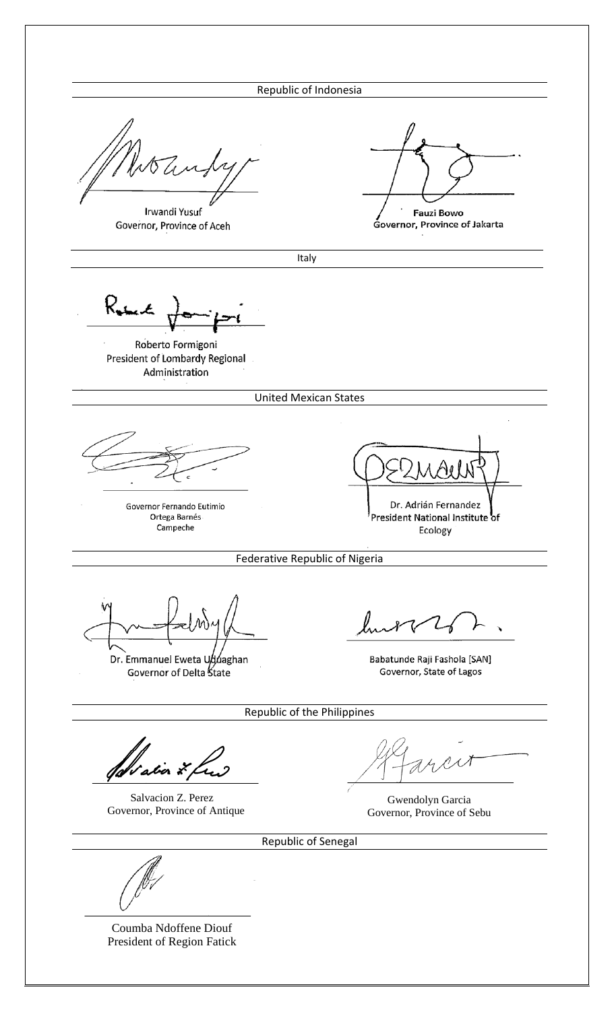Irwandi Yusuf Governor, Province of Aceh

**Fauzi Bowo** Governor, Province of Jakarta

Italy

Ruint

Roberto Formigoni President of Lombardy Regional Administration

United Mexican States

Governor Fernando Eutimio Ortega Barnés Campeche

Dr. Adrián Fernandez President National Institute of

Ecology

Federative Republic of Nigeria

Dr. Emmanuel Eweta Uduaghan Governor of Delta State

Babatunde Raji Fashola [SAN] Governor, State of Lagos

Republic of the Philippines

abor \*

Salvacion Z. Perez Governor, Province of Antique

Gwendolyn Garcia Governor, Province of Sebu

Republic of Senegal

Coumba Ndoffene Diouf President of Region Fatick